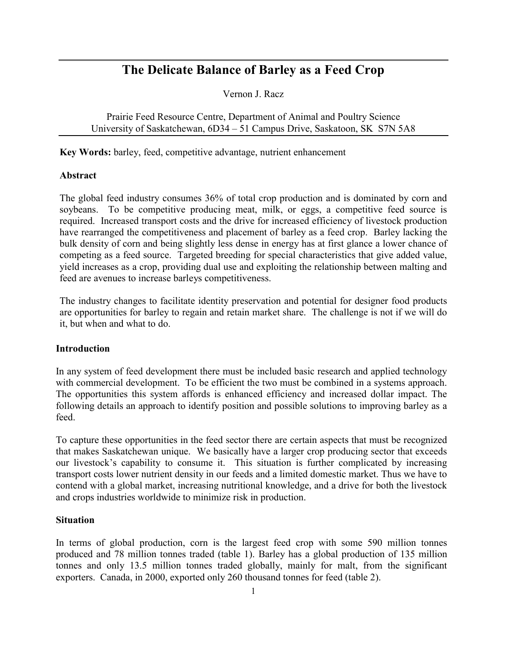# **The Delicate Balance of Barley as a Feed Crop**

Vernon J. Racz

Prairie Feed Resource Centre, Department of Animal and Poultry Science University of Saskatchewan, 6D34 – 51 Campus Drive, Saskatoon, SK S7N 5A8

**Key Words:** barley, feed, competitive advantage, nutrient enhancement

### **Abstract**

The global feed industry consumes 36% of total crop production and is dominated by corn and soybeans. To be competitive producing meat, milk, or eggs, a competitive feed source is required. Increased transport costs and the drive for increased efficiency of livestock production have rearranged the competitiveness and placement of barley as a feed crop. Barley lacking the bulk density of corn and being slightly less dense in energy has at first glance a lower chance of competing as a feed source. Targeted breeding for special characteristics that give added value, yield increases as a crop, providing dual use and exploiting the relationship between malting and feed are avenues to increase barleys competitiveness.

The industry changes to facilitate identity preservation and potential for designer food products are opportunities for barley to regain and retain market share. The challenge is not if we will do it, but when and what to do.

### **Introduction**

In any system of feed development there must be included basic research and applied technology with commercial development. To be efficient the two must be combined in a systems approach. The opportunities this system affords is enhanced efficiency and increased dollar impact. The following details an approach to identify position and possible solutions to improving barley as a feed.

To capture these opportunities in the feed sector there are certain aspects that must be recognized that makes Saskatchewan unique. We basically have a larger crop producing sector that exceeds our livestock's capability to consume it. This situation is further complicated by increasing transport costs lower nutrient density in our feeds and a limited domestic market. Thus we have to contend with a global market, increasing nutritional knowledge, and a drive for both the livestock and crops industries worldwide to minimize risk in production.

### **Situation**

In terms of global production, corn is the largest feed crop with some 590 million tonnes produced and 78 million tonnes traded (table 1). Barley has a global production of 135 million tonnes and only 13.5 million tonnes traded globally, mainly for malt, from the significant exporters. Canada, in 2000, exported only 260 thousand tonnes for feed (table 2).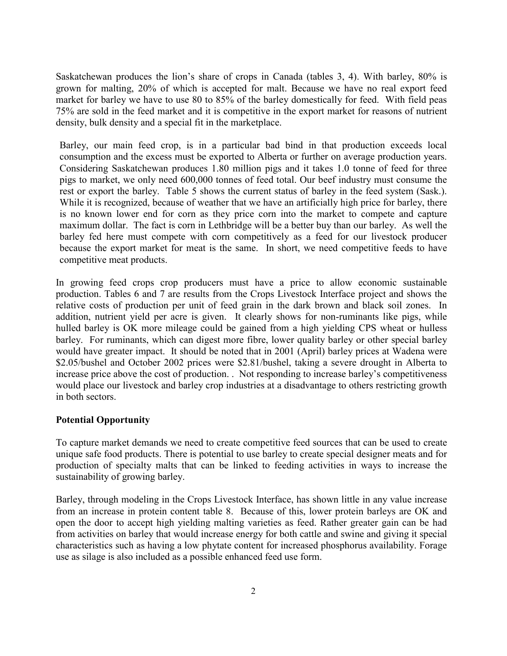Saskatchewan produces the lion's share of crops in Canada (tables 3, 4). With barley, 80% is grown for malting, 20% of which is accepted for malt. Because we have no real export feed market for barley we have to use 80 to 85% of the barley domestically for feed. With field peas 75% are sold in the feed market and it is competitive in the export market for reasons of nutrient density, bulk density and a special fit in the marketplace.

Barley, our main feed crop, is in a particular bad bind in that production exceeds local consumption and the excess must be exported to Alberta or further on average production years. Considering Saskatchewan produces 1.80 million pigs and it takes 1.0 tonne of feed for three pigs to market, we only need 600,000 tonnes of feed total. Our beef industry must consume the rest or export the barley. Table 5 shows the current status of barley in the feed system (Sask.). While it is recognized, because of weather that we have an artificially high price for barley, there is no known lower end for corn as they price corn into the market to compete and capture maximum dollar. The fact is corn in Lethbridge will be a better buy than our barley. As well the barley fed here must compete with corn competitively as a feed for our livestock producer because the export market for meat is the same. In short, we need competitive feeds to have competitive meat products.

In growing feed crops crop producers must have a price to allow economic sustainable production. Tables 6 and 7 are results from the Crops Livestock Interface project and shows the relative costs of production per unit of feed grain in the dark brown and black soil zones. In addition, nutrient yield per acre is given. It clearly shows for non-ruminants like pigs, while hulled barley is OK more mileage could be gained from a high yielding CPS wheat or hulless barley. For ruminants, which can digest more fibre, lower quality barley or other special barley would have greater impact. It should be noted that in 2001 (April) barley prices at Wadena were \$2.05/bushel and October 2002 prices were \$2.81/bushel, taking a severe drought in Alberta to increase price above the cost of production. . Not responding to increase barley's competitiveness would place our livestock and barley crop industries at a disadvantage to others restricting growth in both sectors.

## **Potential Opportunity**

To capture market demands we need to create competitive feed sources that can be used to create unique safe food products. There is potential to use barley to create special designer meats and for production of specialty malts that can be linked to feeding activities in ways to increase the sustainability of growing barley.

Barley, through modeling in the Crops Livestock Interface, has shown little in any value increase from an increase in protein content table 8. Because of this, lower protein barleys are OK and open the door to accept high yielding malting varieties as feed. Rather greater gain can be had from activities on barley that would increase energy for both cattle and swine and giving it special characteristics such as having a low phytate content for increased phosphorus availability. Forage use as silage is also included as a possible enhanced feed use form.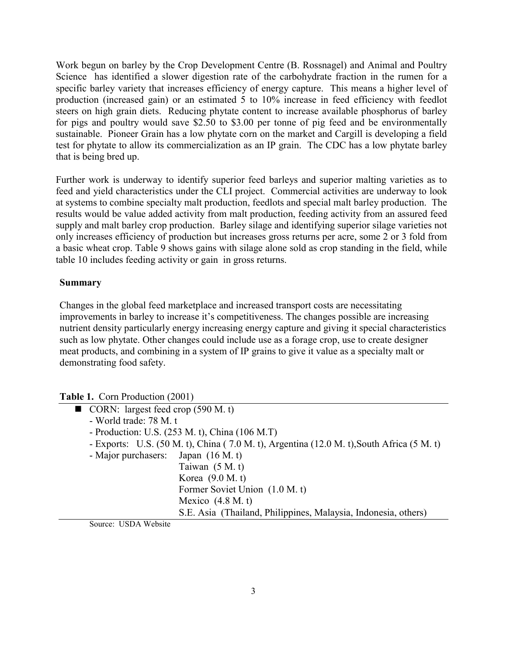Work begun on barley by the Crop Development Centre (B. Rossnagel) and Animal and Poultry Science has identified a slower digestion rate of the carbohydrate fraction in the rumen for a specific barley variety that increases efficiency of energy capture. This means a higher level of production (increased gain) or an estimated 5 to 10% increase in feed efficiency with feedlot steers on high grain diets. Reducing phytate content to increase available phosphorus of barley for pigs and poultry would save \$2.50 to \$3.00 per tonne of pig feed and be environmentally sustainable. Pioneer Grain has a low phytate corn on the market and Cargill is developing a field test for phytate to allow its commercialization as an IP grain. The CDC has a low phytate barley that is being bred up.

Further work is underway to identify superior feed barleys and superior malting varieties as to feed and yield characteristics under the CLI project. Commercial activities are underway to look at systems to combine specialty malt production, feedlots and special malt barley production. The results would be value added activity from malt production, feeding activity from an assured feed supply and malt barley crop production. Barley silage and identifying superior silage varieties not only increases efficiency of production but increases gross returns per acre, some 2 or 3 fold from a basic wheat crop. Table 9 shows gains with silage alone sold as crop standing in the field, while table 10 includes feeding activity or gain in gross returns.

## **Summary**

Changes in the global feed marketplace and increased transport costs are necessitating improvements in barley to increase it's competitiveness. The changes possible are increasing nutrient density particularly energy increasing energy capture and giving it special characteristics such as low phytate. Other changes could include use as a forage crop, use to create designer meat products, and combining in a system of IP grains to give it value as a specialty malt or demonstrating food safety.

|  | <b>Table 1. Corn Production (2001)</b> |  |  |
|--|----------------------------------------|--|--|
|--|----------------------------------------|--|--|

- $\blacksquare$  CORN: largest feed crop (590 M. t)
	- World trade: 78 M. t
	- Production: U.S. (253 M. t), China (106 M.T)
	- Exports: U.S. (50 M. t), China ( 7.0 M. t), Argentina (12.0 M. t),South Africa (5 M. t)
	- Major purchasers: Japan (16 M. t)

 Taiwan (5 M. t) Korea (9.0 M. t)

Former Soviet Union (1.0 M. t)

Mexico (4.8 M. t)

S.E. Asia (Thailand, Philippines, Malaysia, Indonesia, others)

Source: USDA Website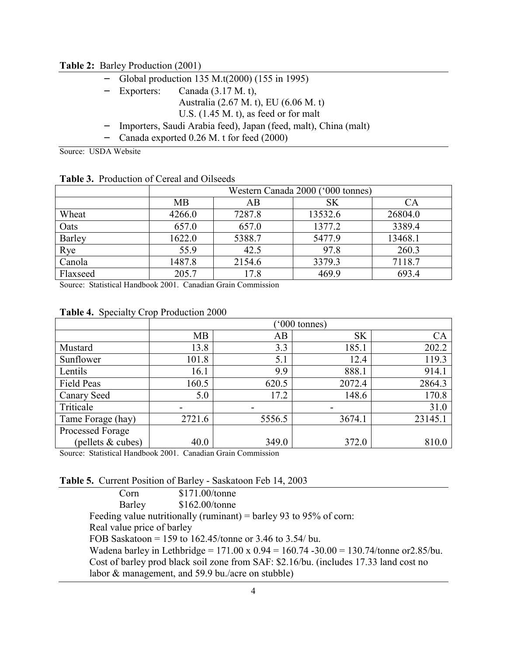**Table 2:** Barley Production (2001)

|  |  | Global production 135 M.t(2000) (155 in 1995) |  |  |  |  |
|--|--|-----------------------------------------------|--|--|--|--|
|--|--|-----------------------------------------------|--|--|--|--|

- Exporters: Canada (3.17 M. t),
	- Australia (2.67 M. t), EU (6.06 M. t)
		- U.S. (1.45 M. t), as feed or for malt
- Importers, Saudi Arabia feed), Japan (feed, malt), China (malt)
- Canada exported 0.26 M. t for feed (2000)

Source: USDA Website

|          | Western Canada 2000 ('000 tonnes) |        |           |         |
|----------|-----------------------------------|--------|-----------|---------|
|          | <b>MB</b>                         | AB     | <b>SK</b> | CА      |
| Wheat    | 4266.0                            | 7287.8 | 13532.6   | 26804.0 |
| Oats     | 657.0                             | 657.0  | 1377.2    | 3389.4  |
| Barley   | 1622.0                            | 5388.7 | 5477.9    | 13468.1 |
| Rye      | 55.9                              | 42.5   | 97.8      | 260.3   |
| Canola   | 1487.8                            | 2154.6 | 3379.3    | 7118.7  |
| Flaxseed | 205.7                             | 17.8   | 469.9     | 693.4   |

**Table 3.** Production of Cereal and Oilseeds

Source: Statistical Handbook 2001. Canadian Grain Commission

|  |  |  | Table 4. Specialty Crop Production 2000 |  |
|--|--|--|-----------------------------------------|--|
|--|--|--|-----------------------------------------|--|

|                     | $^{\prime}000$ tonnes) |        |           |         |
|---------------------|------------------------|--------|-----------|---------|
|                     | <b>MB</b>              | AB     | <b>SK</b> | CA      |
| Mustard             | 13.8                   | 3.3    | 185.1     | 202.2   |
| Sunflower           | 101.8                  | 5.1    | 12.4      | 119.3   |
| Lentils             | 16.1                   | 9.9    | 888.1     | 914.1   |
| <b>Field Peas</b>   | 160.5                  | 620.5  | 2072.4    | 2864.3  |
| <b>Canary Seed</b>  | 5.0                    | 17.2   | 148.6     | 170.8   |
| Triticale           |                        |        |           | 31.0    |
| Tame Forage (hay)   | 2721.6                 | 5556.5 | 3674.1    | 23145.1 |
| Processed Forage    |                        |        |           |         |
| (pellets $& cubes)$ | 40.0                   | 349.0  | 372.0     | 810.0   |

Source: Statistical Handbook 2001. Canadian Grain Commission

**Table 5.** Current Position of Barley - Saskatoon Feb 14, 2003

| Corn                       | \$171.00/tonne                                                                                  |
|----------------------------|-------------------------------------------------------------------------------------------------|
| Barley                     | \$162.00/tonne                                                                                  |
|                            | Feeding value nutritionally (ruminant) = barley 93 to 95% of corn:                              |
| Real value price of barley |                                                                                                 |
|                            | FOB Saskatoon = 159 to 162.45/tonne or 3.46 to 3.54/bu.                                         |
|                            | Wadena barley in Lethbridge = $171.00 \times 0.94 = 160.74 - 30.00 = 130.74$ /tonne or 2.85/bu. |
|                            | Cost of barley prod black soil zone from SAF: \$2.16/bu. (includes 17.33 land cost no           |
|                            | labor & management, and 59.9 bu./acre on stubble)                                               |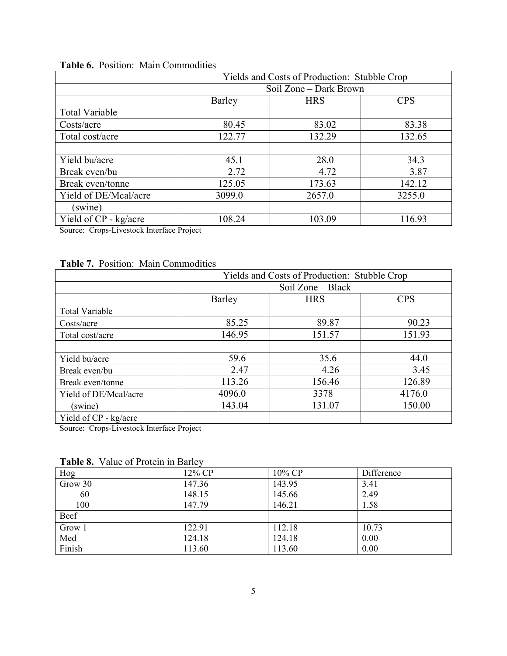|                       | Yields and Costs of Production: Stubble Crop |            |            |  |  |
|-----------------------|----------------------------------------------|------------|------------|--|--|
|                       | Soil Zone – Dark Brown                       |            |            |  |  |
|                       | Barley                                       | <b>HRS</b> | <b>CPS</b> |  |  |
| <b>Total Variable</b> |                                              |            |            |  |  |
| Costs/acre            | 80.45                                        | 83.02      | 83.38      |  |  |
| Total cost/acre       | 122.77                                       | 132.29     | 132.65     |  |  |
|                       |                                              |            |            |  |  |
| Yield bu/acre         | 45.1                                         | 28.0       | 34.3       |  |  |
| Break even/bu         | 2.72                                         | 4.72       | 3.87       |  |  |
| Break even/tonne      | 125.05                                       | 173.63     | 142.12     |  |  |
| Yield of DE/Mcal/acre | 3099.0                                       | 2657.0     | 3255.0     |  |  |
| (swine)               |                                              |            |            |  |  |
| Yield of CP - kg/acre | 108.24                                       | 103.09     | 116.93     |  |  |

## **Table 6.** Position: Main Commodities

Source: Crops-Livestock Interface Project

## **Table 7.** Position: Main Commodities

|                       | Yields and Costs of Production: Stubble Crop |            |            |  |  |
|-----------------------|----------------------------------------------|------------|------------|--|--|
|                       | Soil Zone – Black                            |            |            |  |  |
|                       | Barley                                       | <b>HRS</b> | <b>CPS</b> |  |  |
| <b>Total Variable</b> |                                              |            |            |  |  |
| Costs/acre            | 85.25                                        | 89.87      | 90.23      |  |  |
| Total cost/acre       | 146.95                                       | 151.57     | 151.93     |  |  |
|                       |                                              |            |            |  |  |
| Yield bu/acre         | 59.6                                         | 35.6       | 44.0       |  |  |
| Break even/bu         | 2.47                                         | 4.26       | 3.45       |  |  |
| Break even/tonne      | 113.26                                       | 156.46     | 126.89     |  |  |
| Yield of DE/Mcal/acre | 4096.0                                       | 3378       | 4176.0     |  |  |
| (swine)               | 143.04                                       | 131.07     | 150.00     |  |  |
| Yield of CP - kg/acre |                                              |            |            |  |  |

Source: Crops-Livestock Interface Project

**Table 8.** Value of Protein in Barley

| Hog     | 12% CP | 10% CP | Difference |
|---------|--------|--------|------------|
| Grow 30 | 147.36 | 143.95 | 3.41       |
| 60      | 148.15 | 145.66 | 2.49       |
| 100     | 147.79 | 146.21 | 1.58       |
| Beef    |        |        |            |
| Grow 1  | 122.91 | 112.18 | 10.73      |
| Med     | 124.18 | 124.18 | 0.00       |
| Finish  | 113.60 | 113.60 | 0.00       |